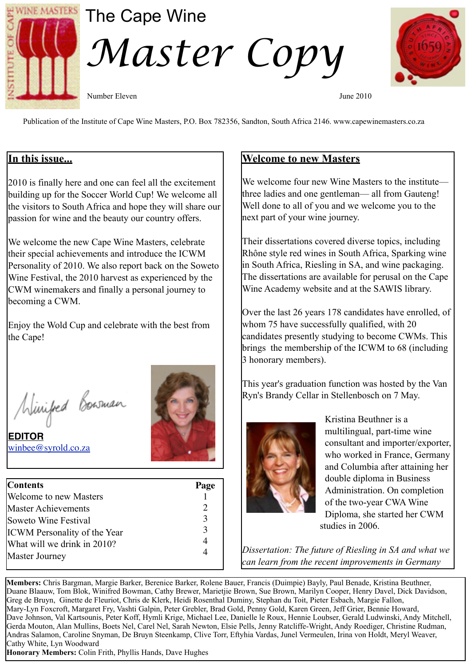

# The Cape Wine

*Master Copy* 

Number Eleven June 2010

Publication of the Institute of Cape Wine Masters, P.O. Box 782356, Sandton, South Africa 2146. www.capewinemasters.co.za

## **In this issue...**

2010 is finally here and one can feel all the excitement building up for the Soccer World Cup! We welcome all the visitors to South Africa and hope they will share our passion for wine and the beauty our country offers.

We welcome the new Cape Wine Masters, celebrate their special achievements and introduce the ICWM Personality of 2010. We also report back on the Soweto Wine Festival, the 2010 harvest as experienced by the CWM winemakers and finally a personal journey to becoming a CWM.

Enjoy the Wold Cup and celebrate with the best from the Cape!

Minified Bowman

**EDITOR** [winbee@syrold.co.za](mailto:winbee@syrold.co.za)



| <b>Contents</b>                     | Page                  |
|-------------------------------------|-----------------------|
| <b>Welcome to new Masters</b>       |                       |
| <b>Master Achievements</b>          | $\mathcal{D}_{\cdot}$ |
| Soweto Wine Festival                | $\mathcal{E}$         |
| <b>ICWM</b> Personality of the Year | $\mathcal{R}$         |
| What will we drink in 2010?         | 4                     |
| Master Journey                      |                       |

## **Welcome to new Masters**

We welcome four new Wine Masters to the institute three ladies and one gentleman— all from Gauteng! Well done to all of you and we welcome you to the next part of your wine journey.

Their dissertations covered diverse topics, including Rhône style red wines in South Africa, Sparking wine in South Africa, Riesling in SA, and wine packaging. The dissertations are available for perusal on the Cape Wine Academy website and at the SAWIS library.

Over the last 26 years 178 candidates have enrolled, of whom 75 have successfully qualified, with 20 candidates presently studying to become CWMs. This brings the membership of the ICWM to 68 (including 3 honorary members).

This year's graduation function was hosted by the Van Ryn's Brandy Cellar in Stellenbosch on 7 May.



Kristina Beuthner is a multilingual, part-time wine consultant and importer/exporter, who worked in France, Germany and Columbia after attaining her double diploma in Business Administration. On completion of the two-year CWA Wine Diploma, she started her CWM studies in 2006.

*Dissertation: The future of Riesling in SA and what we can learn from the recent improvements in Germany* 

**Members:** Chris Bargman, Margie Barker, Berenice Barker, Rolene Bauer, Francis (Duimpie) Bayly, Paul Benade, Kristina Beuthner, Duane Blaauw, Tom Blok, Winifred Bowman, Cathy Brewer, Marietjie Brown, Sue Brown, Marilyn Cooper, Henry Davel, Dick Davidson, Greg de Bruyn, Ginette de Fleuriot, Chris de Klerk, Heidi Rosenthal Duminy, Stephan du Toit, Pieter Esbach, Margie Fallon, Mary-Lyn Foxcroft, Margaret Fry, Vashti Galpin, Peter Grebler, Brad Gold, Penny Gold, Karen Green, Jeff Grier, Bennie Howard, Dave Johnson, Val Kartsounis, Peter Koff, Hymli Krige, Michael Lee, Danielle le Roux, Hennie Loubser, Gerald Ludwinski, Andy Mitchell, Gerda Mouton, Alan Mullins, Boets Nel, Carel Nel, Sarah Newton, Elsie Pells, Jenny Ratcliffe-Wright, Andy Roediger, Christine Rudman, Andras Salamon, Caroline Snyman, De Bruyn Steenkamp, Clive Torr, Eftyhia Vardas, Junel Vermeulen, Irina von Holdt, Meryl Weaver, Cathy White, Lyn Woodward

**Honorary Members:** Colin Frith, Phyllis Hands, Dave Hughes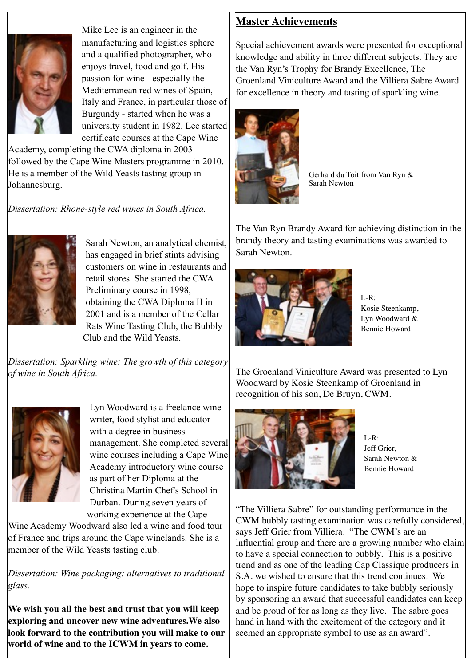

Mike Lee is an engineer in the manufacturing and logistics sphere and a qualified photographer, who enjoys travel, food and golf. His passion for wine - especially the Mediterranean red wines of Spain, Italy and France, in particular those of Burgundy - started when he was a university student in 1982. Lee started certificate courses at the Cape Wine

Academy, completing the CWA diploma in 2003 followed by the Cape Wine Masters programme in 2010. He is a member of the Wild Yeasts tasting group in Johannesburg.

*Dissertation: Rhone-style red wines in South Africa.*



Sarah Newton, an analytical chemist, has engaged in brief stints advising customers on wine in restaurants and retail stores. She started the CWA Preliminary course in 1998, obtaining the CWA Diploma II in 2001 and is a member of the Cellar Rats Wine Tasting Club, the Bubbly Club and the Wild Yeasts.

*Dissertation: Sparkling wine: The growth of this category of wine in South Africa.*



Lyn Woodward is a freelance wine writer, food stylist and educator with a degree in business management. She completed several wine courses including a Cape Wine Academy introductory wine course as part of her Diploma at the Christina Martin Chef's School in Durban. During seven years of working experience at the Cape

Wine Academy Woodward also led a wine and food tour of France and trips around the Cape winelands. She is a member of the Wild Yeasts tasting club.

*Dissertation: Wine packaging: alternatives to traditional glass.*

**We wish you all the best and trust that you will keep exploring and uncover new wine adventures.We also look forward to the contribution you will make to our world of wine and to the ICWM in years to come.**

## **Master Achievements**

Special achievement awards were presented for exceptional knowledge and ability in three different subjects. They are the Van Ryn's Trophy for Brandy Excellence, The Groenland Viniculture Award and the Villiera Sabre Award for excellence in theory and tasting of sparkling wine.



Gerhard du Toit from Van Ryn & Sarah Newton

The Van Ryn Brandy Award for achieving distinction in the brandy theory and tasting examinations was awarded to Sarah Newton.



 $L-R$ : Kosie Steenkamp, Lyn Woodward & Bennie Howard

The Groenland Viniculture Award was presented to Lyn Woodward by Kosie Steenkamp of Groenland in recognition of his son, De Bruyn, CWM.



L-R: Jeff Grier, Sarah Newton & Bennie Howard

"The Villiera Sabre" for outstanding performance in the CWM bubbly tasting examination was carefully considered, says Jeff Grier from Villiera. "The CWM's are an influential group and there are a growing number who claim to have a special connection to bubbly. This is a positive trend and as one of the leading Cap Classique producers in S.A. we wished to ensure that this trend continues. We hope to inspire future candidates to take bubbly seriously by sponsoring an award that successful candidates can keep and be proud of for as long as they live. The sabre goes hand in hand with the excitement of the category and it seemed an appropriate symbol to use as an award".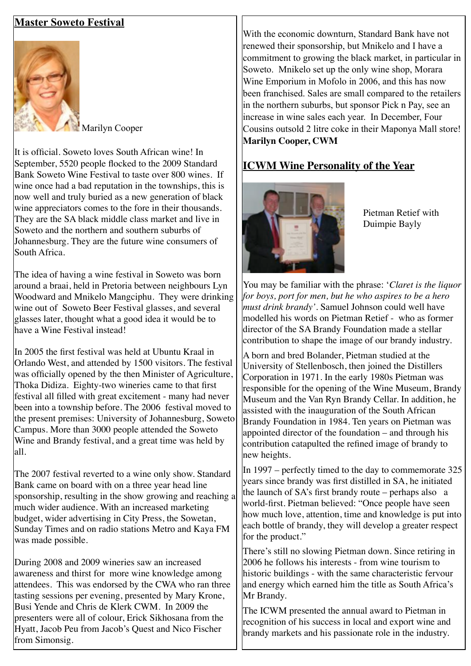### **Master Soweto Festival**



Marilyn Cooper

It is official. Soweto loves South African wine! In September, 5520 people flocked to the 2009 Standard Bank Soweto Wine Festival to taste over 800 wines. If wine once had a bad reputation in the townships, this is now well and truly buried as a new generation of black wine appreciators comes to the fore in their thousands. They are the SA black middle class market and live in Soweto and the northern and southern suburbs of Johannesburg. They are the future wine consumers of South Africa.

The idea of having a wine festival in Soweto was born around a braai, held in Pretoria between neighbours Lyn Woodward and Mnikelo Mangciphu. They were drinking wine out of Soweto Beer Festival glasses, and several glasses later, thought what a good idea it would be to have a Wine Festival instead!

In 2005 the first festival was held at Ubuntu Kraal in Orlando West, and attended by 1500 visitors. The festival was officially opened by the then Minister of Agriculture, Thoka Didiza. Eighty-two wineries came to that first festival all filled with great excitement - many had never been into a township before. The 2006 festival moved to the present premises: University of Johannesburg, Soweto Campus. More than 3000 people attended the Soweto Wine and Brandy festival, and a great time was held by all.

The 2007 festival reverted to a wine only show. Standard Bank came on board with on a three year head line sponsorship, resulting in the show growing and reaching a much wider audience. With an increased marketing budget, wider advertising in City Press, the Sowetan, Sunday Times and on radio stations Metro and Kaya FM was made possible.

During 2008 and 2009 wineries saw an increased awareness and thirst for more wine knowledge among attendees. This was endorsed by the CWA who ran three tasting sessions per evening, presented by Mary Krone, Busi Yende and Chris de Klerk CWM. In 2009 the presenters were all of colour, Erick Sikhosana from the Hyatt, Jacob Peu from Jacob's Quest and Nico Fischer from Simonsig.

With the economic downturn, Standard Bank have not renewed their sponsorship, but Mnikelo and I have a commitment to growing the black market, in particular in Soweto. Mnikelo set up the only wine shop, Morara Wine Emporium in Mofolo in 2006, and this has now been franchised. Sales are small compared to the retailers in the northern suburbs, but sponsor Pick n Pay, see an increase in wine sales each year. In December, Four Cousins outsold 2 litre coke in their Maponya Mall store! **Marilyn Cooper, CWM**

## **ICWM Wine Personality of the Year**

![](_page_2_Picture_10.jpeg)

Pietman Retief with Duimpie Bayly

You may be familiar with the phrase: '*Claret is the liquor for boys, port for men, but he who aspires to be a hero must drink brandy'.* Samuel Johnson could well have modelled his words on [Pietman Retief](http://www.stellenboschwinetourism.co.za/contact_wine_tours_stellenbosch.php) - who as former director of the SA Brandy Foundation made a stellar contribution to shape the image of our brandy industry.

A born and bred [Bolande](http://www.stellenboschwinetourism.co.za/index.php)r, Pietman studied at the [University of Stellenbosch](http://www.stellenboschwinetourism.co.za/index.php), then joined the [Distillers](http://www.stellenboschwinetourism.co.za/wine_tours.php)  [Corporation in 1](http://www.stellenboschwinetourism.co.za/wine_tours.php)971. In the early 1980s Pietman was responsible for the opening of the [Wine Museum](http://www.stellenboschwinetourism.co.za/wine_tours.php), [Brandy](http://www.stellenboschwinetourism.co.za/wine_tours.php)  [Museum](http://www.stellenboschwinetourism.co.za/wine_tours.php) and the [Van Ryn Brandy Cellar](http://www.stellenboschwinetourism.co.za/wine_tours.php). In addition, he assisted with the inauguration of the [South African](http://www.stellenboschwinetourism.co.za/index.php)  [Brandy Foundation](http://www.stellenboschwinetourism.co.za/index.php) in 1984. Ten years on Pietman was appointed director of the foundation – and through his contribution catapulted the refined image of brandy to new heights.

In 1997 – perfectly timed to the day to commemorate 325 years since brandy was first distilled in SA, he initiated the launch of SA's first brandy route – perhaps also a world-first. Pietman believed: "Once people have seen how much love, attention, time and knowledge is put into each bottle of brandy, they will develop a greater respect for the product."

There's still no slowing Pietman down. Since retiring in 2006 he follows his interests - from wine tourism to historic buildings - with the same characteristic fervour and energy which earned him the title as South Africa's Mr Brandy.

The ICWM presented the annual award to Pietman in recognition of his success in local and export wine and brandy markets and his passionate role in the industry.